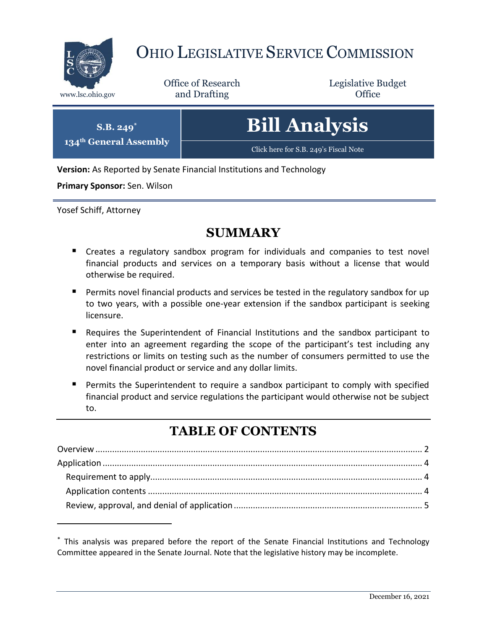

# OHIO LEGISLATIVE SERVICE COMMISSION

Office of Research www.lsc.ohio.gov **and Drafting Office** 

Legislative Budget

| $S.B. 249^*$<br>134 <sup>th</sup> General Assembly | <b>Bill Analysis</b>                  |
|----------------------------------------------------|---------------------------------------|
|                                                    | Click here for S.B. 249's Fiscal Note |

**Version:** As Reported by Senate Financial Institutions and Technology

**Primary Sponsor:** Sen. Wilson

Yosef Schiff, Attorney

 $\overline{a}$ 

# **SUMMARY**

- Creates a regulatory sandbox program for individuals and companies to test novel financial products and services on a temporary basis without a license that would otherwise be required.
- **Permits novel financial products and services be tested in the regulatory sandbox for up** to two years, with a possible one-year extension if the sandbox participant is seeking licensure.
- Requires the Superintendent of Financial Institutions and the sandbox participant to enter into an agreement regarding the scope of the participant's test including any restrictions or limits on testing such as the number of consumers permitted to use the novel financial product or service and any dollar limits.
- Permits the Superintendent to require a sandbox participant to comply with specified financial product and service regulations the participant would otherwise not be subject to.

# **TABLE OF CONTENTS**

<sup>\*</sup> This analysis was prepared before the report of the Senate Financial Institutions and Technology Committee appeared in the Senate Journal. Note that the legislative history may be incomplete.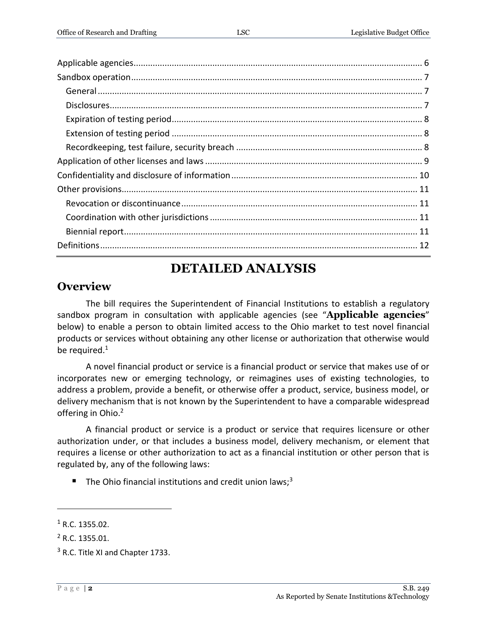# **DETAILED ANALYSIS**

#### <span id="page-1-0"></span>**Overview**

The bill requires the Superintendent of Financial Institutions to establish a regulatory sandbox program in consultation with applicable agencies (see "**Applicable agencies**" below) to enable a person to obtain limited access to the Ohio market to test novel financial products or services without obtaining any other license or authorization that otherwise would be required. $1$ 

A novel financial product or service is a financial product or service that makes use of or incorporates new or emerging technology, or reimagines uses of existing technologies, to address a problem, provide a benefit, or otherwise offer a product, service, business model, or delivery mechanism that is not known by the Superintendent to have a comparable widespread offering in Ohio. 2

A financial product or service is a product or service that requires licensure or other authorization under, or that includes a business model, delivery mechanism, or element that requires a license or other authorization to act as a financial institution or other person that is regulated by, any of the following laws:

The Ohio financial institutions and credit union laws;<sup>3</sup>

 $1$  R.C. 1355.02.

 $2$  R.C. 1355.01.

<sup>&</sup>lt;sup>3</sup> R.C. Title XI and Chapter 1733.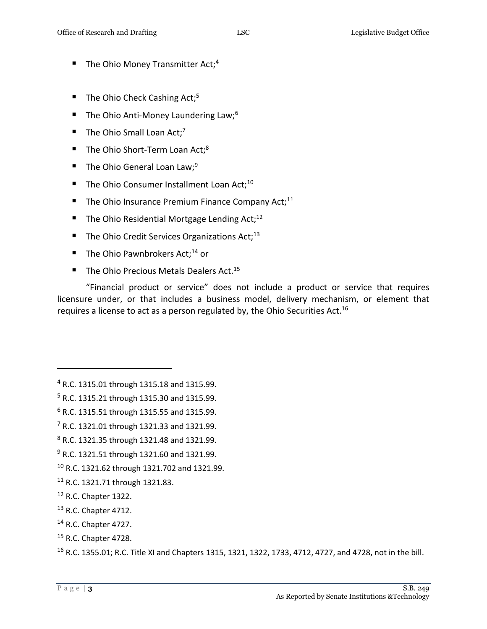- $\blacksquare$  The Ohio Money Transmitter Act;<sup>4</sup>
- $\blacksquare$  The Ohio Check Cashing Act;<sup>5</sup>
- The Ohio Anti-Money Laundering Law;<sup>6</sup>
- The Ohio Small Loan Act;<sup>7</sup>
- $\blacksquare$  The Ohio Short-Term Loan Act;<sup>8</sup>
- The Ohio General Loan Law:<sup>9</sup>
- The Ohio Consumer Installment Loan Act;<sup>10</sup>
- The Ohio Insurance Premium Finance Company Act;<sup>11</sup>
- The Ohio Residential Mortgage Lending Act;<sup>12</sup>
- $\blacksquare$  The Ohio Credit Services Organizations Act;<sup>13</sup>
- $\blacksquare$  The Ohio Pawnbrokers Act;<sup>14</sup> or
- $\blacksquare$  The Ohio Precious Metals Dealers Act.<sup>15</sup>

"Financial product or service" does not include a product or service that requires licensure under, or that includes a business model, delivery mechanism, or element that requires a license to act as a person regulated by, the Ohio Securities Act.<sup>16</sup>

- <sup>9</sup> R.C. 1321.51 through 1321.60 and 1321.99.
- <sup>10</sup> R.C. 1321.62 through 1321.702 and 1321.99.
- <sup>11</sup> R.C. 1321.71 through 1321.83.
- <sup>12</sup> R.C. Chapter 1322.
- <sup>13</sup> R.C. Chapter 4712.
- <sup>14</sup> R.C. Chapter 4727.
- <sup>15</sup> R.C. Chapter 4728.

<sup>4</sup> R.C. 1315.01 through 1315.18 and 1315.99.

<sup>5</sup> R.C. 1315.21 through 1315.30 and 1315.99.

<sup>6</sup> R.C. 1315.51 through 1315.55 and 1315.99.

 $7$  R.C. 1321.01 through 1321.33 and 1321.99.

<sup>8</sup> R.C. 1321.35 through 1321.48 and 1321.99.

<sup>16</sup> R.C. 1355.01; R.C. Title XI and Chapters 1315, 1321, 1322, 1733, 4712, 4727, and 4728, not in the bill.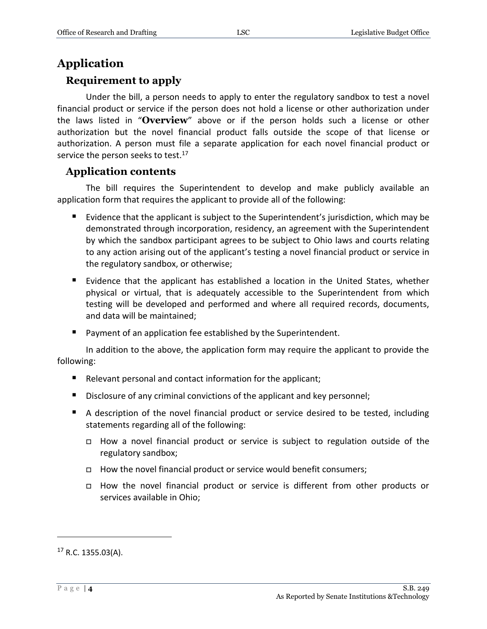### <span id="page-3-0"></span>**Application**

#### <span id="page-3-1"></span>**Requirement to apply**

Under the bill, a person needs to apply to enter the regulatory sandbox to test a novel financial product or service if the person does not hold a license or other authorization under the laws listed in "**Overview**" above or if the person holds such a license or other authorization but the novel financial product falls outside the scope of that license or authorization. A person must file a separate application for each novel financial product or service the person seeks to test. $17$ 

#### <span id="page-3-2"></span>**Application contents**

The bill requires the Superintendent to develop and make publicly available an application form that requires the applicant to provide all of the following:

- Evidence that the applicant is subject to the Superintendent's jurisdiction, which may be demonstrated through incorporation, residency, an agreement with the Superintendent by which the sandbox participant agrees to be subject to Ohio laws and courts relating to any action arising out of the applicant's testing a novel financial product or service in the regulatory sandbox, or otherwise;
- Evidence that the applicant has established a location in the United States, whether physical or virtual, that is adequately accessible to the Superintendent from which testing will be developed and performed and where all required records, documents, and data will be maintained;
- **Payment of an application fee established by the Superintendent.**

In addition to the above, the application form may require the applicant to provide the following:

- Relevant personal and contact information for the applicant;
- Disclosure of any criminal convictions of the applicant and key personnel;
- A description of the novel financial product or service desired to be tested, including statements regarding all of the following:
	- How a novel financial product or service is subject to regulation outside of the regulatory sandbox;
	- $\Box$  How the novel financial product or service would benefit consumers;
	- How the novel financial product or service is different from other products or services available in Ohio;

 $17$  R.C. 1355.03(A).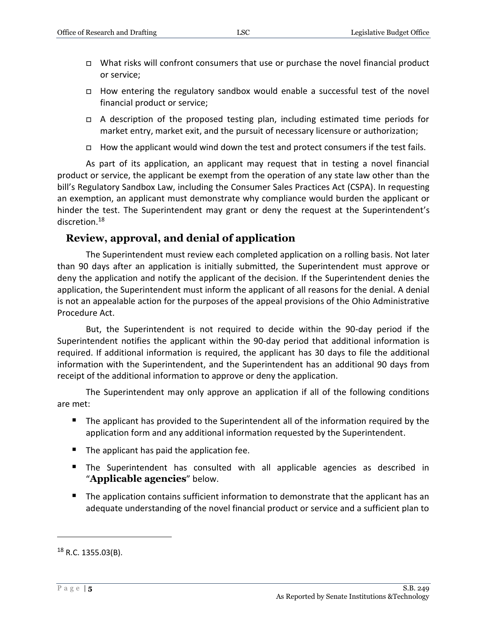- $\Box$  What risks will confront consumers that use or purchase the novel financial product or service;
- How entering the regulatory sandbox would enable a successful test of the novel financial product or service;
- A description of the proposed testing plan, including estimated time periods for market entry, market exit, and the pursuit of necessary licensure or authorization;
- $\Box$  How the applicant would wind down the test and protect consumers if the test fails.

As part of its application, an applicant may request that in testing a novel financial product or service, the applicant be exempt from the operation of any state law other than the bill's Regulatory Sandbox Law, including the Consumer Sales Practices Act (CSPA). In requesting an exemption, an applicant must demonstrate why compliance would burden the applicant or hinder the test. The Superintendent may grant or deny the request at the Superintendent's discretion.<sup>18</sup>

#### <span id="page-4-0"></span>**Review, approval, and denial of application**

The Superintendent must review each completed application on a rolling basis. Not later than 90 days after an application is initially submitted, the Superintendent must approve or deny the application and notify the applicant of the decision. If the Superintendent denies the application, the Superintendent must inform the applicant of all reasons for the denial. A denial is not an appealable action for the purposes of the appeal provisions of the Ohio Administrative Procedure Act.

But, the Superintendent is not required to decide within the 90-day period if the Superintendent notifies the applicant within the 90-day period that additional information is required. If additional information is required, the applicant has 30 days to file the additional information with the Superintendent, and the Superintendent has an additional 90 days from receipt of the additional information to approve or deny the application.

The Superintendent may only approve an application if all of the following conditions are met:

- The applicant has provided to the Superintendent all of the information required by the application form and any additional information requested by the Superintendent.
- $\blacksquare$  The applicant has paid the application fee.
- **The Superintendent has consulted with all applicable agencies as described in** "**Applicable agencies**" below.
- The application contains sufficient information to demonstrate that the applicant has an adequate understanding of the novel financial product or service and a sufficient plan to

 $18$  R.C. 1355.03(B).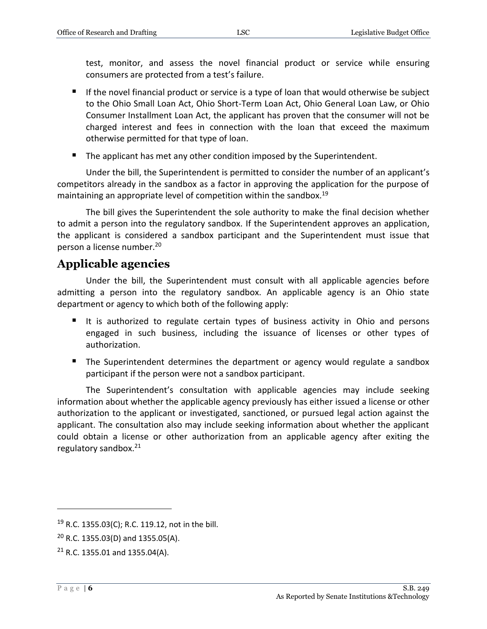test, monitor, and assess the novel financial product or service while ensuring consumers are protected from a test's failure.

- If the novel financial product or service is a type of loan that would otherwise be subject to the Ohio Small Loan Act, Ohio Short-Term Loan Act, Ohio General Loan Law, or Ohio Consumer Installment Loan Act, the applicant has proven that the consumer will not be charged interest and fees in connection with the loan that exceed the maximum otherwise permitted for that type of loan.
- The applicant has met any other condition imposed by the Superintendent.

Under the bill, the Superintendent is permitted to consider the number of an applicant's competitors already in the sandbox as a factor in approving the application for the purpose of maintaining an appropriate level of competition within the sandbox.<sup>19</sup>

The bill gives the Superintendent the sole authority to make the final decision whether to admit a person into the regulatory sandbox. If the Superintendent approves an application, the applicant is considered a sandbox participant and the Superintendent must issue that person a license number. 20

#### <span id="page-5-0"></span>**Applicable agencies**

Under the bill, the Superintendent must consult with all applicable agencies before admitting a person into the regulatory sandbox. An applicable agency is an Ohio state department or agency to which both of the following apply:

- It is authorized to regulate certain types of business activity in Ohio and persons engaged in such business, including the issuance of licenses or other types of authorization.
- The Superintendent determines the department or agency would regulate a sandbox participant if the person were not a sandbox participant.

The Superintendent's consultation with applicable agencies may include seeking information about whether the applicable agency previously has either issued a license or other authorization to the applicant or investigated, sanctioned, or pursued legal action against the applicant. The consultation also may include seeking information about whether the applicant could obtain a license or other authorization from an applicable agency after exiting the regulatory sandbox.<sup>21</sup>

<sup>19</sup> R.C. 1355.03(C); R.C. 119.12, not in the bill.

 $20$  R.C. 1355.03(D) and 1355.05(A).

 $21$  R.C. 1355.01 and 1355.04(A).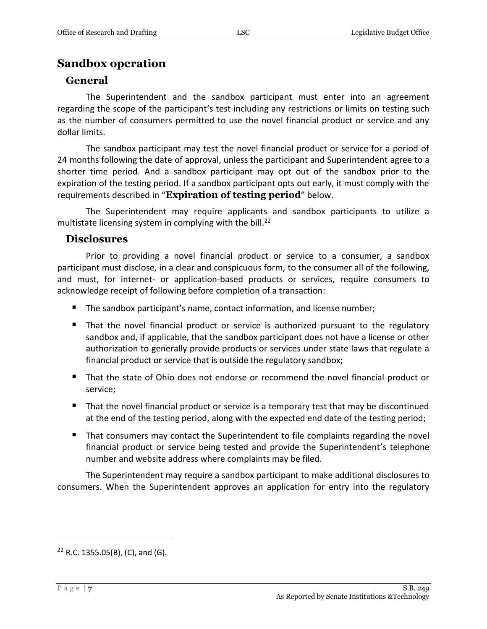#### <span id="page-6-0"></span>**Sandbox operation**

#### <span id="page-6-1"></span>**General**

The Superintendent and the sandbox participant must enter into an agreement regarding the scope of the participant's test including any restrictions or limits on testing such as the number of consumers permitted to use the novel financial product or service and any dollar limits.

The sandbox participant may test the novel financial product or service for a period of 24 months following the date of approval, unless the participant and Superintendent agree to a shorter time period. And a sandbox participant may opt out of the sandbox prior to the expiration of the testing period. If a sandbox participant opts out early, it must comply with the requirements described in "**Expiration of testing period**" below.

The Superintendent may require applicants and sandbox participants to utilize a multistate licensing system in complying with the bill.<sup>22</sup>

#### <span id="page-6-2"></span>**Disclosures**

Prior to providing a novel financial product or service to a consumer, a sandbox participant must disclose, in a clear and conspicuous form, to the consumer all of the following, and must, for internet- or application-based products or services, require consumers to acknowledge receipt of following before completion of a transaction:

- The sandbox participant's name, contact information, and license number;
- That the novel financial product or service is authorized pursuant to the regulatory sandbox and, if applicable, that the sandbox participant does not have a license or other authorization to generally provide products or services under state laws that regulate a financial product or service that is outside the regulatory sandbox;
- That the state of Ohio does not endorse or recommend the novel financial product or service;
- That the novel financial product or service is a temporary test that may be discontinued at the end of the testing period, along with the expected end date of the testing period;
- That consumers may contact the Superintendent to file complaints regarding the novel financial product or service being tested and provide the Superintendent's telephone number and website address where complaints may be filed.

The Superintendent may require a sandbox participant to make additional disclosures to consumers. When the Superintendent approves an application for entry into the regulatory

 $22$  R.C. 1355.05(B), (C), and (G).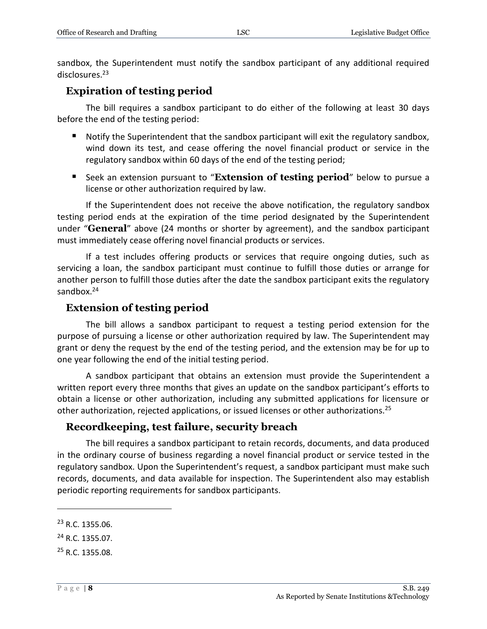sandbox, the Superintendent must notify the sandbox participant of any additional required disclosures.<sup>23</sup>

#### <span id="page-7-0"></span>**Expiration of testing period**

The bill requires a sandbox participant to do either of the following at least 30 days before the end of the testing period:

- Notify the Superintendent that the sandbox participant will exit the regulatory sandbox, wind down its test, and cease offering the novel financial product or service in the regulatory sandbox within 60 days of the end of the testing period;
- **Seek an extension pursuant to "Extension of testing period"** below to pursue a license or other authorization required by law.

If the Superintendent does not receive the above notification, the regulatory sandbox testing period ends at the expiration of the time period designated by the Superintendent under "**General**" above (24 months or shorter by agreement), and the sandbox participant must immediately cease offering novel financial products or services.

If a test includes offering products or services that require ongoing duties, such as servicing a loan, the sandbox participant must continue to fulfill those duties or arrange for another person to fulfill those duties after the date the sandbox participant exits the regulatory sandbox.<sup>24</sup>

#### <span id="page-7-1"></span>**Extension of testing period**

The bill allows a sandbox participant to request a testing period extension for the purpose of pursuing a license or other authorization required by law. The Superintendent may grant or deny the request by the end of the testing period, and the extension may be for up to one year following the end of the initial testing period.

A sandbox participant that obtains an extension must provide the Superintendent a written report every three months that gives an update on the sandbox participant's efforts to obtain a license or other authorization, including any submitted applications for licensure or other authorization, rejected applications, or issued licenses or other authorizations.<sup>25</sup>

#### <span id="page-7-2"></span>**Recordkeeping, test failure, security breach**

The bill requires a sandbox participant to retain records, documents, and data produced in the ordinary course of business regarding a novel financial product or service tested in the regulatory sandbox. Upon the Superintendent's request, a sandbox participant must make such records, documents, and data available for inspection. The Superintendent also may establish periodic reporting requirements for sandbox participants.

 $\overline{a}$ 

<sup>25</sup> R.C. 1355.08.

<sup>23</sup> R.C. 1355.06.

<sup>24</sup> R.C. 1355.07.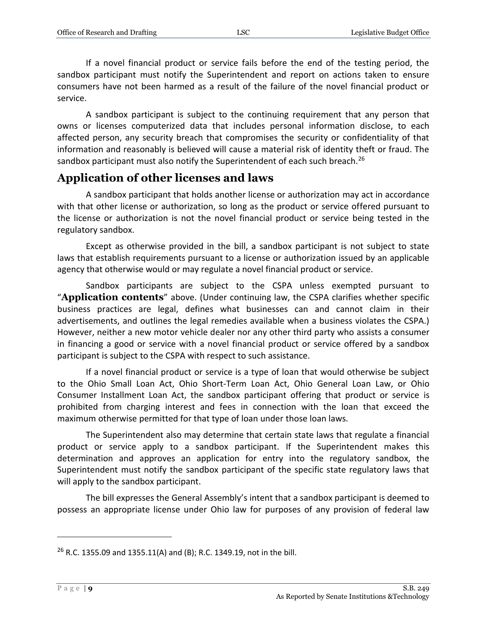If a novel financial product or service fails before the end of the testing period, the sandbox participant must notify the Superintendent and report on actions taken to ensure consumers have not been harmed as a result of the failure of the novel financial product or service.

A sandbox participant is subject to the continuing requirement that any person that owns or licenses computerized data that includes personal information disclose, to each affected person, any security breach that compromises the security or confidentiality of that information and reasonably is believed will cause a material risk of identity theft or fraud. The sandbox participant must also notify the Superintendent of each such breach.<sup>26</sup>

### <span id="page-8-0"></span>**Application of other licenses and laws**

A sandbox participant that holds another license or authorization may act in accordance with that other license or authorization, so long as the product or service offered pursuant to the license or authorization is not the novel financial product or service being tested in the regulatory sandbox.

Except as otherwise provided in the bill, a sandbox participant is not subject to state laws that establish requirements pursuant to a license or authorization issued by an applicable agency that otherwise would or may regulate a novel financial product or service.

Sandbox participants are subject to the CSPA unless exempted pursuant to "**Application contents**" above. (Under continuing law, the CSPA clarifies whether specific business practices are legal, defines what businesses can and cannot claim in their advertisements, and outlines the legal remedies available when a business violates the CSPA.) However, neither a new motor vehicle dealer nor any other third party who assists a consumer in financing a good or service with a novel financial product or service offered by a sandbox participant is subject to the CSPA with respect to such assistance.

If a novel financial product or service is a type of loan that would otherwise be subject to the Ohio Small Loan Act, Ohio Short-Term Loan Act, Ohio General Loan Law, or Ohio Consumer Installment Loan Act, the sandbox participant offering that product or service is prohibited from charging interest and fees in connection with the loan that exceed the maximum otherwise permitted for that type of loan under those loan laws.

The Superintendent also may determine that certain state laws that regulate a financial product or service apply to a sandbox participant. If the Superintendent makes this determination and approves an application for entry into the regulatory sandbox, the Superintendent must notify the sandbox participant of the specific state regulatory laws that will apply to the sandbox participant.

The bill expresses the General Assembly's intent that a sandbox participant is deemed to possess an appropriate license under Ohio law for purposes of any provision of federal law

<sup>&</sup>lt;sup>26</sup> R.C. 1355.09 and 1355.11(A) and (B); R.C. 1349.19, not in the bill.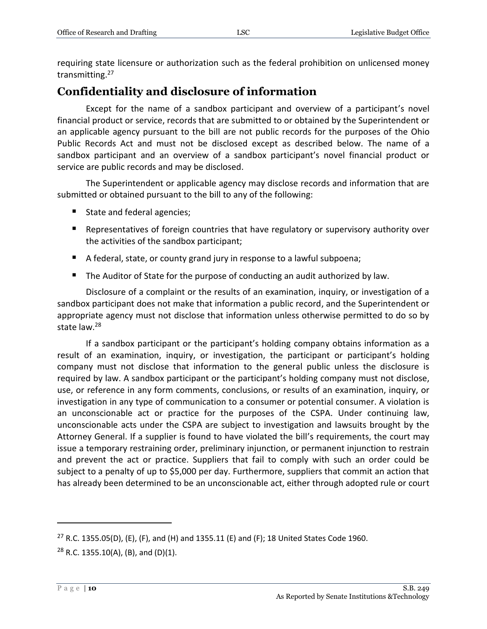requiring state licensure or authorization such as the federal prohibition on unlicensed money transmitting.<sup>27</sup>

## <span id="page-9-0"></span>**Confidentiality and disclosure of information**

Except for the name of a sandbox participant and overview of a participant's novel financial product or service, records that are submitted to or obtained by the Superintendent or an applicable agency pursuant to the bill are not public records for the purposes of the Ohio Public Records Act and must not be disclosed except as described below. The name of a sandbox participant and an overview of a sandbox participant's novel financial product or service are public records and may be disclosed.

The Superintendent or applicable agency may disclose records and information that are submitted or obtained pursuant to the bill to any of the following:

- State and federal agencies;
- **Representatives of foreign countries that have regulatory or supervisory authority over** the activities of the sandbox participant;
- A federal, state, or county grand jury in response to a lawful subpoena;
- The Auditor of State for the purpose of conducting an audit authorized by law.

Disclosure of a complaint or the results of an examination, inquiry, or investigation of a sandbox participant does not make that information a public record, and the Superintendent or appropriate agency must not disclose that information unless otherwise permitted to do so by state law.<sup>28</sup>

If a sandbox participant or the participant's holding company obtains information as a result of an examination, inquiry, or investigation, the participant or participant's holding company must not disclose that information to the general public unless the disclosure is required by law. A sandbox participant or the participant's holding company must not disclose, use, or reference in any form comments, conclusions, or results of an examination, inquiry, or investigation in any type of communication to a consumer or potential consumer. A violation is an unconscionable act or practice for the purposes of the CSPA. Under continuing law, unconscionable acts under the CSPA are subject to investigation and lawsuits brought by the Attorney General. If a supplier is found to have violated the bill's requirements, the court may issue a temporary restraining order, preliminary injunction, or permanent injunction to restrain and prevent the act or practice. Suppliers that fail to comply with such an order could be subject to a penalty of up to \$5,000 per day. Furthermore, suppliers that commit an action that has already been determined to be an unconscionable act, either through adopted rule or court

<sup>&</sup>lt;sup>27</sup> R.C. 1355.05(D), (E), (F), and (H) and 1355.11 (E) and (F); 18 United States Code 1960.  $28$  R.C. 1355.10(A), (B), and (D)(1).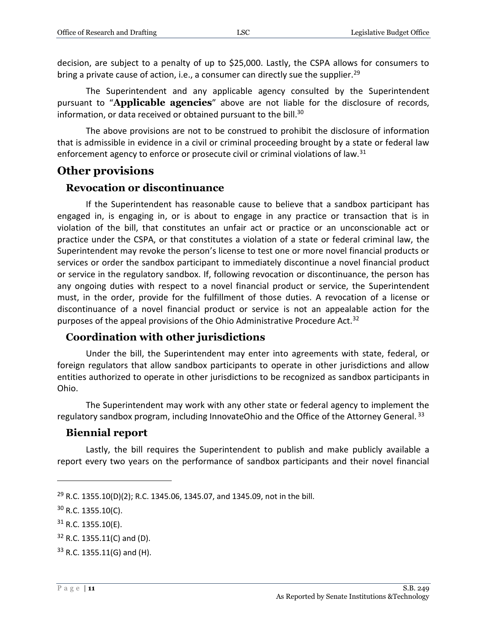decision, are subject to a penalty of up to \$25,000. Lastly, the CSPA allows for consumers to bring a private cause of action, i.e., a consumer can directly sue the supplier.<sup>29</sup>

The Superintendent and any applicable agency consulted by the Superintendent pursuant to "**Applicable agencies**" above are not liable for the disclosure of records, information, or data received or obtained pursuant to the bill.<sup>30</sup>

The above provisions are not to be construed to prohibit the disclosure of information that is admissible in evidence in a civil or criminal proceeding brought by a state or federal law enforcement agency to enforce or prosecute civil or criminal violations of law.<sup>31</sup>

#### <span id="page-10-0"></span>**Other provisions**

#### <span id="page-10-1"></span>**Revocation or discontinuance**

If the Superintendent has reasonable cause to believe that a sandbox participant has engaged in, is engaging in, or is about to engage in any practice or transaction that is in violation of the bill, that constitutes an unfair act or practice or an unconscionable act or practice under the CSPA, or that constitutes a violation of a state or federal criminal law, the Superintendent may revoke the person's license to test one or more novel financial products or services or order the sandbox participant to immediately discontinue a novel financial product or service in the regulatory sandbox. If, following revocation or discontinuance, the person has any ongoing duties with respect to a novel financial product or service, the Superintendent must, in the order, provide for the fulfillment of those duties. A revocation of a license or discontinuance of a novel financial product or service is not an appealable action for the purposes of the appeal provisions of the Ohio Administrative Procedure Act.<sup>32</sup>

#### <span id="page-10-2"></span>**Coordination with other jurisdictions**

Under the bill, the Superintendent may enter into agreements with state, federal, or foreign regulators that allow sandbox participants to operate in other jurisdictions and allow entities authorized to operate in other jurisdictions to be recognized as sandbox participants in Ohio.

The Superintendent may work with any other state or federal agency to implement the regulatory sandbox program, including InnovateOhio and the Office of the Attorney General. 33

#### <span id="page-10-3"></span>**Biennial report**

Lastly, the bill requires the Superintendent to publish and make publicly available a report every two years on the performance of sandbox participants and their novel financial

<sup>&</sup>lt;sup>29</sup> R.C. 1355.10(D)(2); R.C. 1345.06, 1345.07, and 1345.09, not in the bill.

<sup>30</sup> R.C. 1355.10(C).

 $31$  R.C. 1355.10(E).

 $32$  R.C. 1355.11(C) and (D).

<sup>33</sup> R.C. 1355.11(G) and (H).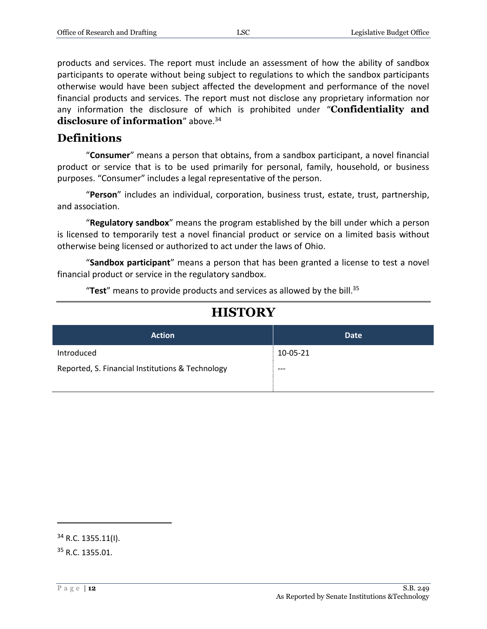products and services. The report must include an assessment of how the ability of sandbox participants to operate without being subject to regulations to which the sandbox participants otherwise would have been subject affected the development and performance of the novel financial products and services. The report must not disclose any proprietary information nor any information the disclosure of which is prohibited under "**Confidentiality and disclosure of information**" above.<sup>34</sup>

#### <span id="page-11-0"></span>**Definitions**

"**Consumer**" means a person that obtains, from a sandbox participant, a novel financial product or service that is to be used primarily for personal, family, household, or business purposes. "Consumer" includes a legal representative of the person.

"**Person**" includes an individual, corporation, business trust, estate, trust, partnership, and association.

"**Regulatory sandbox**" means the program established by the bill under which a person is licensed to temporarily test a novel financial product or service on a limited basis without otherwise being licensed or authorized to act under the laws of Ohio.

"**Sandbox participant**" means a person that has been granted a license to test a novel financial product or service in the regulatory sandbox.

"**Test**" means to provide products and services as allowed by the bill. 35

| <b>Action</b>                                    | <b>Date</b> |
|--------------------------------------------------|-------------|
| Introduced                                       | 10-05-21    |
| Reported, S. Financial Institutions & Technology | $---$       |

# **HISTORY**

<sup>34</sup> R.C. 1355.11(I).

<sup>35</sup> R.C. 1355.01.